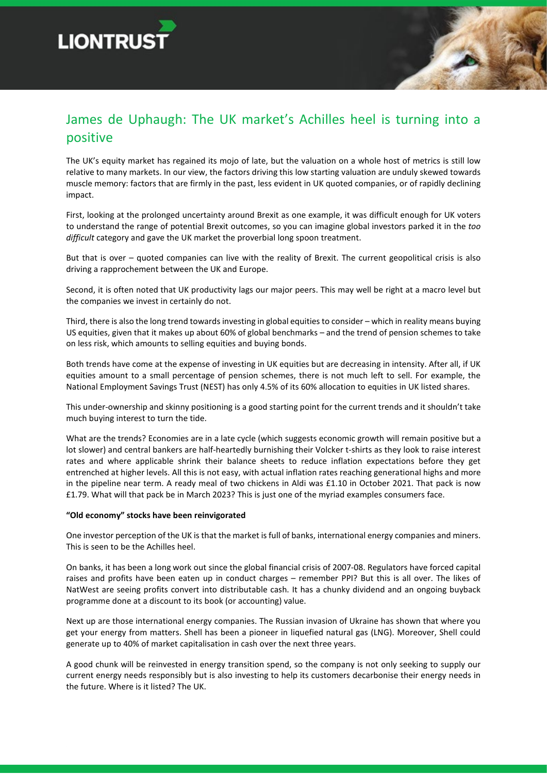



The UK's equity market has regained its mojo of late, but the valuation on a whole host of metrics is still low relative to many markets. In our view, the factors driving this low starting valuation are unduly skewed towards muscle memory: factors that are firmly in the past, less evident in UK quoted companies, or of rapidly declining impact.

First, looking at the prolonged uncertainty around Brexit as one example, it was difficult enough for UK voters to understand the range of potential Brexit outcomes, so you can imagine global investors parked it in the *too difficult* category and gave the UK market the proverbial long spoon treatment.

But that is over – quoted companies can live with the reality of Brexit. The current geopolitical crisis is also driving a rapprochement between the UK and Europe.

Second, it is often noted that UK productivity lags our major peers. This may well be right at a macro level but the companies we invest in certainly do not.

Third, there is also the long trend towards investing in global equities to consider – which in reality means buying US equities, given that it makes up about 60% of global benchmarks – and the trend of pension schemes to take on less risk, which amounts to selling equities and buying bonds.

Both trends have come at the expense of investing in UK equities but are decreasing in intensity. After all, if UK equities amount to a small percentage of pension schemes, there is not much left to sell. For example, the National Employment Savings Trust (NEST) has only 4.5% of its 60% allocation to equities in UK listed shares.

This under-ownership and skinny positioning is a good starting point for the current trends and it shouldn't take much buying interest to turn the tide.

What are the trends? Economies are in a late cycle (which suggests economic growth will remain positive but a lot slower) and central bankers are half-heartedly burnishing their Volcker t-shirts as they look to raise interest rates and where applicable shrink their balance sheets to reduce inflation expectations before they get entrenched at higher levels. All this is not easy, with actual inflation rates reaching generational highs and more in the pipeline near term. A ready meal of two chickens in Aldi was £1.10 in October 2021. That pack is now £1.79. What will that pack be in March 2023? This is just one of the myriad examples consumers face.

## **"Old economy" stocks have been reinvigorated**

One investor perception of the UK is that the market is full of banks, international energy companies and miners. This is seen to be the Achilles heel.

On banks, it has been a long work out since the global financial crisis of 2007-08. Regulators have forced capital raises and profits have been eaten up in conduct charges – remember PPI? But this is all over. The likes of NatWest are seeing profits convert into distributable cash. It has a chunky dividend and an ongoing buyback programme done at a discount to its book (or accounting) value.

Next up are those international energy companies. The Russian invasion of Ukraine has shown that where you get your energy from matters. Shell has been a pioneer in liquefied natural gas (LNG). Moreover, Shell could generate up to 40% of market capitalisation in cash over the next three years.

A good chunk will be reinvested in energy transition spend, so the company is not only seeking to supply our current energy needs responsibly but is also investing to help its customers decarbonise their energy needs in the future. Where is it listed? The UK.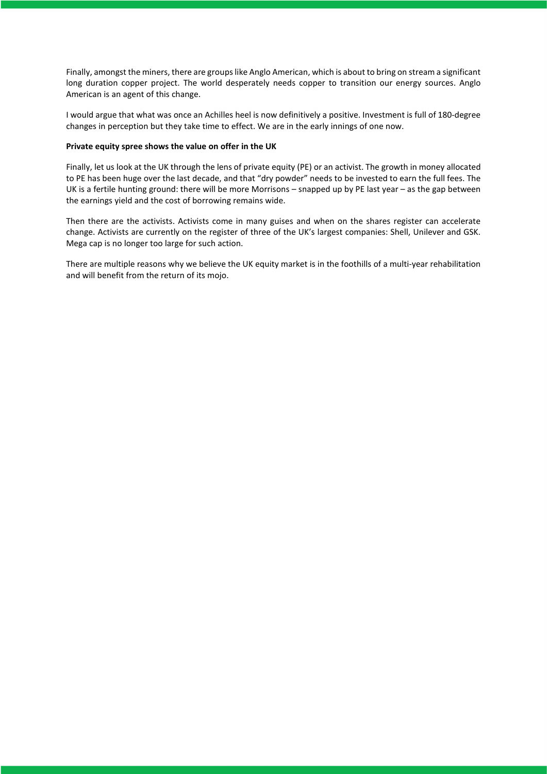Finally, amongst the miners, there are groups like Anglo American, which is about to bring on stream a significant long duration copper project. The world desperately needs copper to transition our energy sources. Anglo American is an agent of this change.

I would argue that what was once an Achilles heel is now definitively a positive. Investment is full of 180-degree changes in perception but they take time to effect. We are in the early innings of one now.

## **Private equity spree shows the value on offer in the UK**

Finally, let us look at the UK through the lens of private equity (PE) or an activist. The growth in money allocated to PE has been huge over the last decade, and that "dry powder" needs to be invested to earn the full fees. The UK is a fertile hunting ground: there will be more Morrisons – snapped up by PE last year – as the gap between the earnings yield and the cost of borrowing remains wide.

Then there are the activists. Activists come in many guises and when on the shares register can accelerate change. Activists are currently on the register of three of the UK's largest companies: Shell, Unilever and GSK. Mega cap is no longer too large for such action.

There are multiple reasons why we believe the UK equity market is in the foothills of a multi-year rehabilitation and will benefit from the return of its mojo.